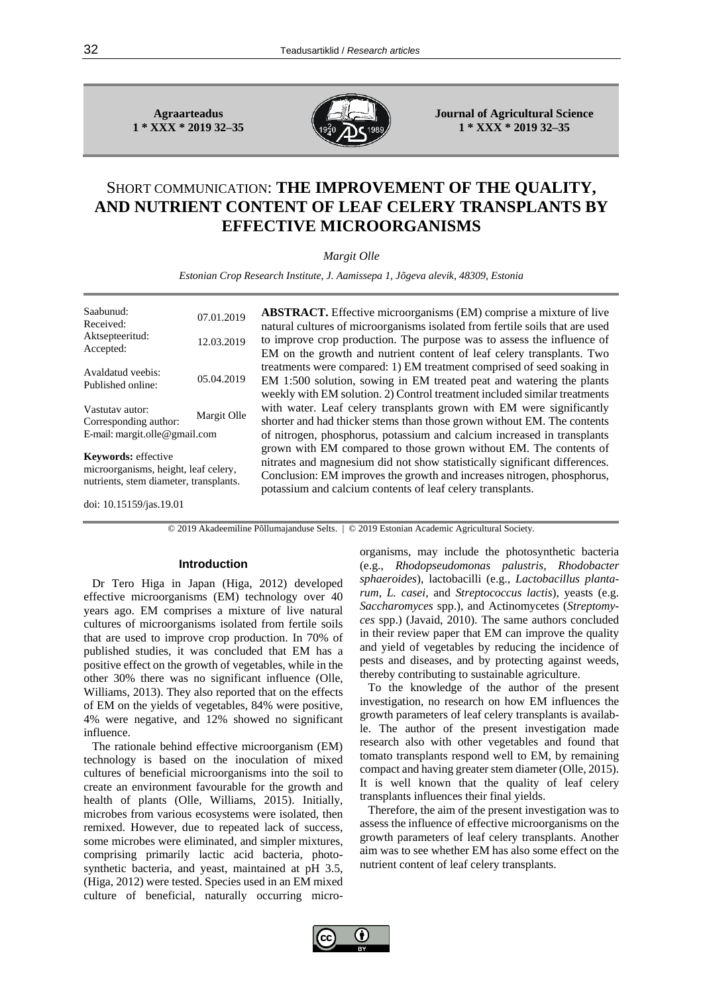**Agraarteadus 1 \* XXX \* 2019 32–35**



**Journal of Agricultural Science 1 \* XXX \* 2019 32–35**

# SHORT COMMUNICATION: **THE IMPROVEMENT OF THE QUALITY, AND NUTRIENT CONTENT OF LEAF CELERY TRANSPLANTS BY EFFECTIVE MICROORGANISMS**

*Margit Olle*

*Estonian Crop Research Institute, J. Aamissepa 1, Jõgeva alevik, 48309, Estonia*

| Saabunud <sup>1</sup><br>Received:<br>Aktsepteeritud:<br>Accepted:        | 07.01.2019<br>12.03.2019 |
|---------------------------------------------------------------------------|--------------------------|
| Avaldatud veebis:<br>Published online:                                    | 05.04.2019               |
| Vastutav autor:<br>Corresponding author:<br>E-mail: margit.olle@gmail.com | Margit Olle              |

**Keywords:** effective microorganisms, height, leaf celery, nutrients, stem diameter, transplants. **ABSTRACT.** Effective microorganisms (EM) comprise a mixture of live natural cultures of microorganisms isolated from fertile soils that are used to improve crop production. The purpose was to assess the influence of EM on the growth and nutrient content of leaf celery transplants. Two treatments were compared: 1) EM treatment comprised of seed soaking in EM 1:500 solution, sowing in EM treated peat and watering the plants weekly with EM solution. 2) Control treatment included similar treatments with water. Leaf celery transplants grown with EM were significantly shorter and had thicker stems than those grown without EM. The contents of nitrogen, phosphorus, potassium and calcium increased in transplants grown with EM compared to those grown without EM. The contents of nitrates and magnesium did not show statistically significant differences. Conclusion: EM improves the growth and increases nitrogen, phosphorus, potassium and calcium contents of leaf celery transplants.

doi: [10.15159/jas.19.01](https://dx.doi.org/10.15159/jas.19.01)

© 2019 Akadeemiline Põllumajanduse Selts. | © 2019 Estonian Academic Agricultural Society.

## **Introduction**

Dr Tero Higa in Japan (Higa, 2012) developed effective microorganisms (EM) technology over 40 years ago. EM comprises a mixture of live natural cultures of microorganisms isolated from fertile soils that are used to improve crop production. In 70% of published studies, it was concluded that EM has a positive effect on the growth of vegetables, while in the other 30% there was no significant influence (Olle, Williams, 2013). They also reported that on the effects of EM on the yields of vegetables, 84% were positive, 4% were negative, and 12% showed no significant influence.

The rationale behind effective microorganism (EM) technology is based on the inoculation of mixed cultures of beneficial microorganisms into the soil to create an environment favourable for the growth and health of plants (Olle, Williams, 2015). Initially, microbes from various ecosystems were isolated, then remixed. However, due to repeated lack of success, some microbes were eliminated, and simpler mixtures, comprising primarily lactic acid bacteria, photosynthetic bacteria, and yeast, maintained at pH 3.5, (Higa, 2012) were tested. Species used in an EM mixed culture of beneficial, naturally occurring microorganisms, may include the photosynthetic bacteria (e.g., *Rhodopseudomonas palustris*, *Rhodobacter sphaeroides*), lactobacilli (e.g., *Lactobacillus plantarum*, *L. casei*, and *Streptococcus lactis*), yeasts (e.g. *Saccharomyces* spp.), and Actinomycetes (*Streptomyces* spp.) (Javaid, 2010). The same authors concluded in their review paper that EM can improve the quality and yield of vegetables by reducing the incidence of pests and diseases, and by protecting against weeds, thereby contributing to sustainable agriculture.

To the knowledge of the author of the present investigation, no research on how EM influences the growth parameters of leaf celery transplants is available. The author of the present investigation made research also with other vegetables and found that tomato transplants respond well to EM, by remaining compact and having greater stem diameter (Olle, 2015). It is well known that the quality of leaf celery transplants influences their final yields.

Therefore, the aim of the present investigation was to assess the influence of effective microorganisms on the growth parameters of leaf celery transplants. Another aim was to see whether EM has also some effect on the nutrient content of leaf celery transplants.

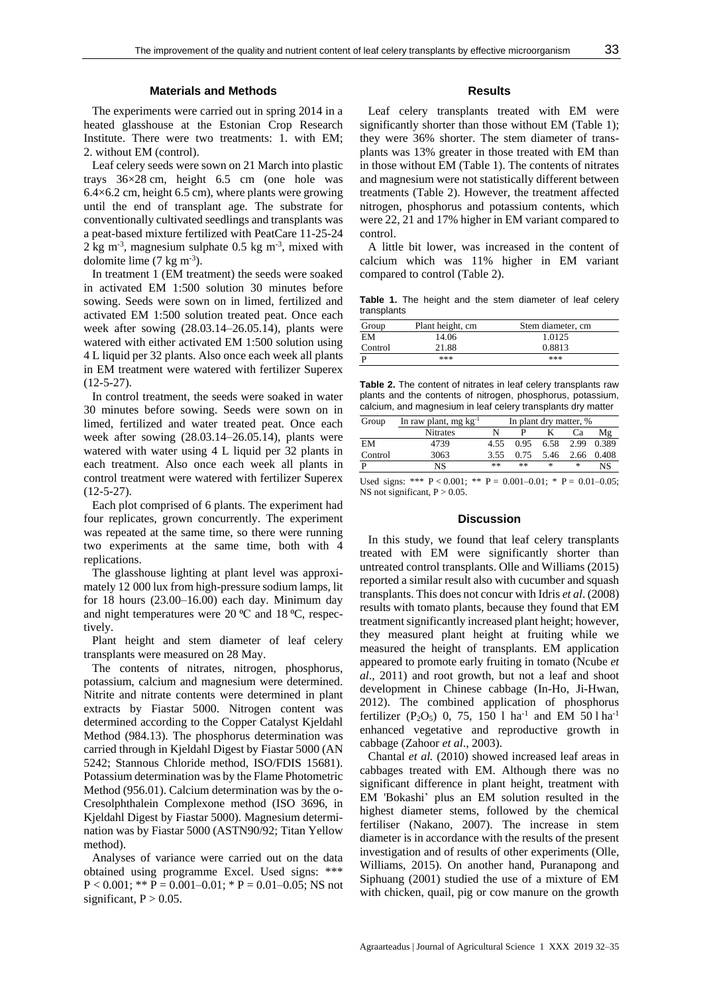# **Materials and Methods**

The experiments were carried out in spring 2014 in a heated glasshouse at the Estonian Crop Research Institute. There were two treatments: 1. with EM; 2. without EM (control).

Leaf celery seeds were sown on 21 March into plastic trays 36×28 cm, height 6.5 cm (one hole was  $6.4\times6.2$  cm, height 6.5 cm), where plants were growing until the end of transplant age. The substrate for conventionally cultivated seedlings and transplants was a peat-based mixture fertilized with PeatCare 11-25-24  $2 \text{ kg m}^3$ , magnesium sulphate 0.5 kg m<sup>-3</sup>, mixed with dolomite lime  $(7 \text{ kg m}^3)$ .

In treatment 1 (EM treatment) the seeds were soaked in activated EM 1:500 solution 30 minutes before sowing. Seeds were sown on in limed, fertilized and activated EM 1:500 solution treated peat. Once each week after sowing (28.03.14–26.05.14), plants were watered with either activated EM 1:500 solution using 4 L liquid per 32 plants. Also once each week all plants in EM treatment were watered with fertilizer Superex  $(12-5-27)$ .

In control treatment, the seeds were soaked in water 30 minutes before sowing. Seeds were sown on in limed, fertilized and water treated peat. Once each week after sowing (28.03.14–26.05.14), plants were watered with water using 4 L liquid per 32 plants in each treatment. Also once each week all plants in control treatment were watered with fertilizer Superex  $(12-5-27)$ .

Each plot comprised of 6 plants. The experiment had four replicates, grown concurrently. The experiment was repeated at the same time, so there were running two experiments at the same time, both with 4 replications.

The glasshouse lighting at plant level was approximately 12 000 lux from high-pressure sodium lamps, lit for 18 hours (23.00–16.00) each day. Minimum day and night temperatures were  $20 \degree C$  and  $18 \degree C$ , respectively.

Plant height and stem diameter of leaf celery transplants were measured on 28 May.

The contents of nitrates, nitrogen, phosphorus, potassium, calcium and magnesium were determined. Nitrite and nitrate contents were determined in plant extracts by Fiastar 5000. Nitrogen content was determined according to the Copper Catalyst Kjeldahl Method (984.13). The phosphorus determination was carried through in Kjeldahl Digest by Fiastar 5000 (AN 5242; Stannous Chloride method, ISO/FDIS 15681). Potassium determination was by the Flame Photometric Method (956.01). Calcium determination was by the o-Cresolphthalein Complexone method (ISO 3696, in Kjeldahl Digest by Fiastar 5000). Magnesium determination was by Fiastar 5000 (ASTN90/92; Titan Yellow method).

Analyses of variance were carried out on the data obtained using programme Excel. Used signs: \*\*\*  $P < 0.001$ ; \*\*  $P = 0.001 - 0.01$ ; \*  $P = 0.01 - 0.05$ ; NS not significant,  $P > 0.05$ .

# **Results**

Leaf celery transplants treated with EM were significantly shorter than those without EM (Table 1); they were 36% shorter. The stem diameter of transplants was 13% greater in those treated with EM than in those without EM (Table 1). The contents of nitrates and magnesium were not statistically different between treatments (Table 2). However, the treatment affected nitrogen, phosphorus and potassium contents, which were 22, 21 and 17% higher in EM variant compared to control.

A little bit lower, was increased in the content of calcium which was 11% higher in EM variant compared to control (Table 2).

**Table 1.** The height and the stem diameter of leaf celery transplants

| Group   | Plant height, cm | Stem diameter, cm |  |  |
|---------|------------------|-------------------|--|--|
| EM      | 14.06            | 1.0125            |  |  |
| Control | 21.88            | 0.8813            |  |  |
|         | ***              | ***               |  |  |

**Table 2.** The content of nitrates in leaf celery transplants raw plants and the contents of nitrogen, phosphorus, potassium, calcium, and magnesium in leaf celery transplants dry matter

| Group   | In raw plant, mg $kg^{-1}$ | In plant dry matter, % |      |             |      |       |
|---------|----------------------------|------------------------|------|-------------|------|-------|
|         | Nitrates                   |                        |      |             | Сa   | Μg    |
| EM      | 4739                       | 4.55                   | 0.95 | 6.58        | 2.99 | 0.389 |
| Control | 3063                       | 3.55                   |      | $0.75$ 5.46 | 2.66 | 0.408 |
| P       | NS                         | **                     | **   | $\ast$      | *    | NS    |

Used signs: \*\*\*  $P < 0.001$ ; \*\*  $P = 0.001 - 0.01$ ; \*  $P = 0.01 - 0.05$ ; NS not significant,  $P > 0.05$ .

#### **Discussion**

In this study, we found that leaf celery transplants treated with EM were significantly shorter than untreated control transplants. Olle and Williams (2015) reported a similar result also with cucumber and squash transplants. This does not concur with Idris *et al*. (2008) results with tomato plants, because they found that EM treatment significantly increased plant height; however, they measured plant height at fruiting while we measured the height of transplants. EM application appeared to promote early fruiting in tomato (Ncube *et al*., 2011) and root growth, but not a leaf and shoot development in Chinese cabbage (In-Ho, Ji-Hwan, 2012). The combined application of phosphorus fertilizer (P<sub>2</sub>O<sub>5</sub>) 0, 75, 150 l ha<sup>-1</sup> and EM 50 l ha<sup>-1</sup> enhanced vegetative and reproductive growth in cabbage (Zahoor *et al*., 2003).

Chantal *et al.* (2010) showed increased leaf areas in cabbages treated with EM. Although there was no significant difference in plant height, treatment with EM 'Bokashi' plus an EM solution resulted in the highest diameter stems, followed by the chemical fertiliser (Nakano, 2007). The increase in stem diameter is in accordance with the results of the present investigation and of results of other experiments (Olle, Williams, 2015). On another hand, Puranapong and Siphuang (2001) studied the use of a mixture of EM with chicken, quail, pig or cow manure on the growth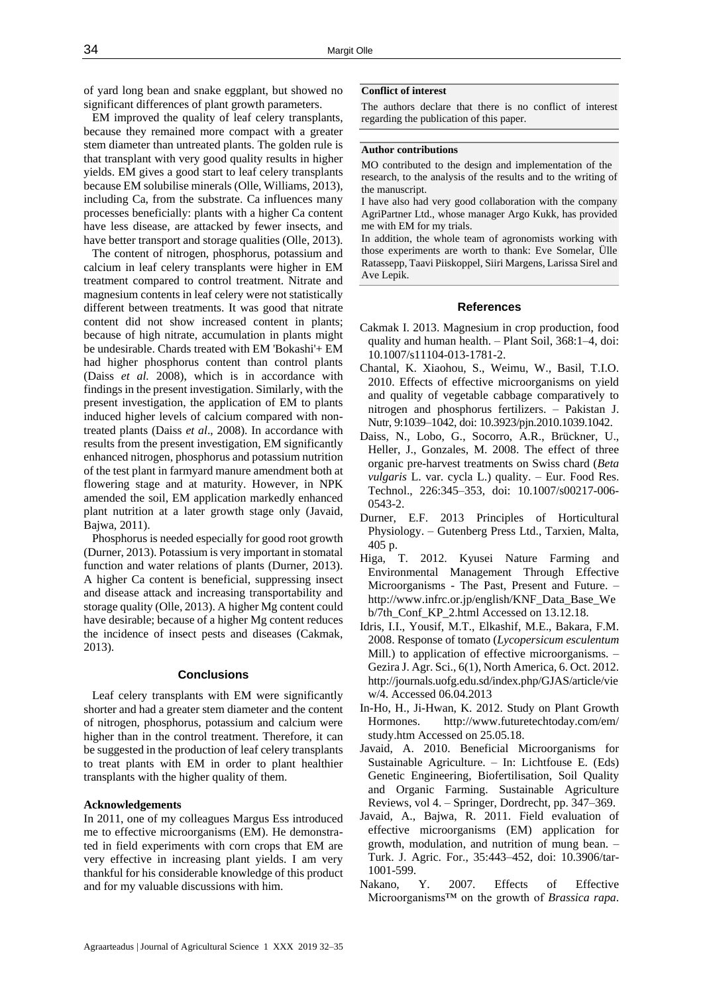of yard long bean and snake eggplant, but showed no significant differences of plant growth parameters.

EM improved the quality of leaf celery transplants, because they remained more compact with a greater stem diameter than untreated plants. The golden rule is that transplant with very good quality results in higher yields. EM gives a good start to leaf celery transplants because EM solubilise minerals (Olle, Williams, 2013), including Ca, from the substrate. Ca influences many processes beneficially: plants with a higher Ca content have less disease, are attacked by fewer insects, and have better transport and storage qualities (Olle, 2013).

The content of nitrogen, phosphorus, potassium and calcium in leaf celery transplants were higher in EM treatment compared to control treatment. Nitrate and magnesium contents in leaf celery were not statistically different between treatments. It was good that nitrate content did not show increased content in plants; because of high nitrate, accumulation in plants might be undesirable. Chards treated with EM 'Bokashi'+ EM had higher phosphorus content than control plants (Daiss *et al.* 2008), which is in accordance with findings in the present investigation. Similarly, with the present investigation, the application of EM to plants induced higher levels of calcium compared with nontreated plants (Daiss *et al*., 2008). In accordance with results from the present investigation, EM significantly enhanced nitrogen, phosphorus and potassium nutrition of the test plant in farmyard manure amendment both at flowering stage and at maturity. However, in NPK amended the soil, EM application markedly enhanced plant nutrition at a later growth stage only (Javaid, Bajwa, 2011).

Phosphorus is needed especially for good root growth (Durner, 2013). Potassium is very important in stomatal function and water relations of plants (Durner, 2013). A higher Ca content is beneficial, suppressing insect and disease attack and increasing transportability and storage quality (Olle, 2013). A higher Mg content could have desirable; because of a higher Mg content reduces the incidence of insect pests and diseases (Cakmak, 2013).

## **Conclusions**

Leaf celery transplants with EM were significantly shorter and had a greater stem diameter and the content of nitrogen, phosphorus, potassium and calcium were higher than in the control treatment. Therefore, it can be suggested in the production of leaf celery transplants to treat plants with EM in order to plant healthier transplants with the higher quality of them.

## **Acknowledgements**

In 2011, one of my colleagues Margus Ess introduced me to effective microorganisms (EM). He demonstrated in field experiments with corn crops that EM are very effective in increasing plant yields. I am very thankful for his considerable knowledge of this product and for my valuable discussions with him.

#### **Conflict of interest**

The authors declare that there is no conflict of interest regarding the publication of this paper.

# **Author contributions**

MO contributed to the design and implementation of the research, to the analysis of the results and to the writing of the manuscript.

I have also had very good collaboration with the company AgriPartner Ltd., whose manager Argo Kukk, has provided me with EM for my trials.

In addition, the whole team of agronomists working with those experiments are worth to thank: Eve Somelar, Ülle Ratassepp, Taavi Piiskoppel, Siiri Margens, Larissa Sirel and Ave Lepik.

#### **References**

- Cakmak I. 2013. Magnesium in crop production, food quality and human health. – Plant Soil, 368:1–4, doi: 10.1007/s11104-013-1781-2.
- Chantal, K. Xiaohou, S., Weimu, W., Basil, T.I.O. 2010. Effects of effective microorganisms on yield and quality of vegetable cabbage comparatively to nitrogen and phosphorus fertilizers. – Pakistan J. Nutr, 9:1039–1042, doi: 10.3923/pjn.2010.1039.1042.
- Daiss, N., Lobo, G., Socorro, A.R., Brückner, U., Heller, J., Gonzales, M. 2008. The effect of three organic pre-harvest treatments on Swiss chard (*Beta vulgaris* L. var. cycla L.) quality. – Eur. Food Res. Technol., 226:345–353, doi: 10.1007/s00217-006- 0543-2.
- Durner, E.F. 2013 Principles of Horticultural Physiology. – Gutenberg Press Ltd., Tarxien, Malta, 405 p.
- Higa, T. 2012. Kyusei Nature Farming and Environmental Management Through Effective Microorganisms - The Past, Present and Future. – http://www.infrc.or.jp/english/KNF\_Data\_Base\_We b/7th\_Conf\_KP\_2.html Accessed on 13.12.18.
- Idris, I.I., Yousif, M.T., Elkashif, M.E., Bakara, F.M. 2008. Response of tomato (*Lycopersicum esculentum* Mill.) to application of effective microorganisms. – Gezira J. Agr. Sci., 6(1), North America, 6. Oct. 2012. http://journals.uofg.edu.sd/index.php/GJAS/article/vie w/4. Accessed 06.04.2013
- In-Ho, H., Ji-Hwan, K. 2012. Study on Plant Growth Hormones. http://www.futuretechtoday.com/em/ study.htm Accessed on 25.05.18.
- Javaid, A. 2010. Beneficial Microorganisms for Sustainable Agriculture. – In: Lichtfouse E. (Eds) Genetic Engineering, Biofertilisation, Soil Quality and Organic Farming. Sustainable Agriculture Reviews, vol 4. – Springer, Dordrecht, pp. 347–369.
- Javaid, A., Bajwa, R. 2011. Field evaluation of effective microorganisms (EM) application for growth, modulation, and nutrition of mung bean. – Turk. J. Agric. For., 35:443–452, doi: 10.3906/tar-1001-599.
- Nakano, Y. 2007. Effects of Effective Microorganisms™ on the growth of *Brassica rapa*.